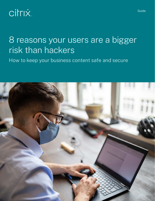# **Citrix**

# 8 reasons your users are a bigger risk than hackers

How to keep your business content safe and secure

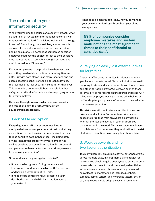# The real threat to your information security

When you imagine the causes of a security breach, what do you think of? A team of international hackers trying to ransom information? A malicious insider with a grudge to settle? Statistically, the most likely cause is much simpler, like one of your sales reps leaving his tablet behind on a plane. 54 percent of companies consider employee mistakes the biggest threat to their sensitive data, compared to external hackers (30 percent) and malicious insiders (21 percent)<sup>1</sup>.

For your employees to be productive wherever they work, they need reliable, swift access to key files and data. But with data stored in so many locations and end users accessing sensitive files on personal devices, the "surface area" for security risks is larger than ever. This demands a content collaboration solution that safeguards critical information while simplifying access for every employee.

**Here are the eight reasons why poor user security is a threat and how to protect your content collaboration accordingly.**

#### 1. Lack of file encryption

Every day, your staff shares countless files in multiple devices across your network. Without strong encryption, it's much easier for unauthorized parties to read sensitive data in these files—including both private intellectual property for your company as well as sensitive customer information. 54 percent of companies cite these factors as their primary reasons for deploying encryption<sup>2</sup>.

So what does strong encryption look like?

- It needs to be rigorous, fitting the Advanced Encryption Standard chosen by the U.S. government and having a key length of 256 bits.
- It needs to be comprehensive, protecting your data both at rest and while it's in motion across your network.

• It needs to be controllable, allowing you to manage your own encryption keys throughout your cloud storage zone.

**59% of companies consider employee mistakes and system malfunctions the most significant threat to their confidential or sensitive data1 .**

# 2. Relying on easily lost external drives for large files

As your staff creates large files for videos and other graphics-rich assets, email file-size limitations make it tempting to store and share these files on thumb drives and other portable hardware. However, each of these external drives represents an unsecured endpoint. All it takes is an employee leaving a thumb drive behind at a coffee shop for your private information to be available to whomever picks it up.

This risk makes it vital to store your files in a secure private cloud solution. You want to provide secure access to large files from anywhere on any device, whether the files are hosted in your on-premises datacenter or in the cloud. This allows your employees to collaborate from wherever they work without the risk of storing critical files on an easily-lost thumb drive.

## 3. Weak passwords and no two-factor authentication

Too many users rely on simple, easy-to-enter passwords across multiple sites, making them a prime target for hackers. You should require employees to create stronger passwords that do not contain personally-identifiable information or common phrases. A strong password has at least 10 characters, and includes numbers, symbols, capital letters, and lowercase letters. Better yet, employees should adopt an easy-to-remember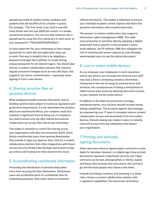passphrase made of random words, numbers, and symbols that will be difficult for a hacker to guess. For example, "The first home I ever lived in was 615 False Street and rent was \$500 per month" is a simple, nonsensical sentence. You can turn that sentence into a passphrase by using the first characters of each word, so your password is "Tfhleliw615FSaRw\$5pm."

It's also important for your employees to have unique passwords for each site and application they use at work. One way to simplify this is by adopting a password manager like LastPass to create strong, unique passwords for all relevant logins. You should also choose a content collaboration solution that requires regular password changes (such as every 60 days), and supports two-factor authentication—especially when signing in from a new device.

# 4. Sharing sensitive files on personal devices

When employees handle customer information, they're handling sensitive data subject to numerous regulations and governance requirements. If a user downloads this sensitive data to an unauthorized device, your company could face a lawsuit or significant fines for being out of compliance. You need to ensure only the right internal and external collaborators can access files with private information.

This makes it essential to control file sharing across your organization with data loss prevention (DLP), which blocks unauthorized users from opening downloaded files outside of apps you approve. Also, look for a content collaboration platform that offers integrations with Cloud Access Security Brokers like Skyhigh and Avanan to help you enforce DLP policies for files stored in the cloud.

#### 5. Screenshotting confidential information

Preventing the distribution of sensitive data takes more than securing the files themselves. Sometimes users will screenshot parts of confidential files for notetaking purposes, then share these screenshots

without permission. This makes it important to ensure your intended recipient cannot capture and share this sensitive information with unauthorized users.

The answer is content collaboration that supports information rights management (IRM). This adds extra protection to sensitive data by applying a digital watermark that is specific to the recipient's name, email address, and IP address. IRM thus mitigates the risk of unauthorized screen capture by only allowing watermarked users to see the shared document.

#### 6. Lost or stolen mobile devices

As you empower your employees to work anywhere and on any device, you increase the chances your staff may lose a device containing sensitive information. Compared to the risk of losing an external drive with sensitive, the consequences of losing a smartphone or tablet can be even worse by allowing bad actors access to your network via the stolen device.

In addition to the data loss prevention strategy mentioned earlier, your solution should include remote wiping capabilities. This protects against data leakage by empowering your IT team to remotely remove content collaboration access and documents from lost mobile devices. Remote wiping also makes it easy to instantly close off access from any employees who depart your organization.

# 7. Printing and manually signing documents

Sales reps have relied on signed paper contracts to close deals for decades. However, in a digital age these printed documents represent a significant security risk. Paper contracts can be lost, photographed, or illicitly copied, and these risks increase the more places the contracts go and the more people who interact with them.

Instead of printing a contract and exposing it to these risks, choose a content collaboration solution with e-signature capabilities. This electronic verification